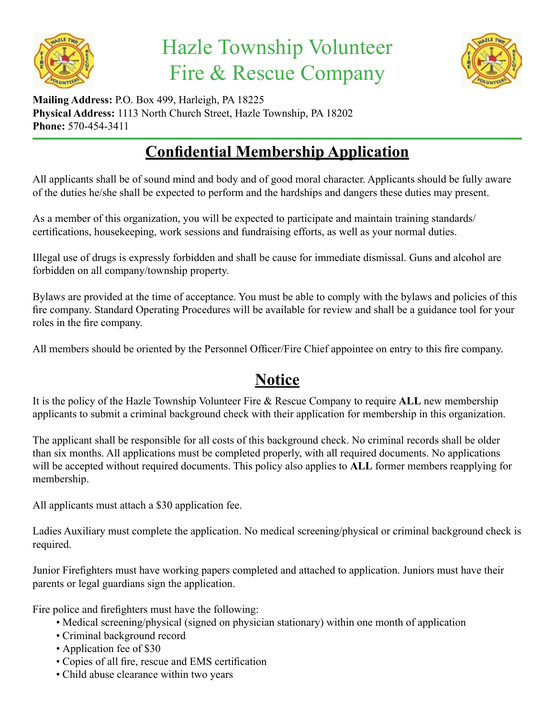

# Hazle Township Volunteer Fire & Rescue Company



**Mailing Address:** P.O. Box 499, Harleigh, PA 18225 **Physical Address:** 1113 North Church Street, Hazle Township, PA 18202 **Phone:** 570-454-3411

### **Confidential Membership Application**

All applicants shall be of sound mind and body and of good moral character. Applicants should be fully aware of the duties he/she shall be expected to perform and the hardships and dangers these duties may present.

As a member of this organization, you will be expected to participate and maintain training standards/ certifications, housekeeping, work sessions and fundraising efforts, as well as your normal duties.

Illegal use of drugs is expressly forbidden and shall be cause for immediate dismissal. Guns and alcohol are forbidden on all company/township property.

Bylaws are provided at the time of acceptance. You must be able to comply with the bylaws and policies of this fire company. Standard Operating Procedures will be available for review and shall be a guidance tool for your roles in the fire company.

All members should be oriented by the Personnel Officer/Fire Chief appointee on entry to this fire company.

#### **Notice**

It is the policy of the Hazle Township Volunteer Fire & Rescue Company to require **ALL** new membership applicants to submit a criminal background check with their application for membership in this organization.

The applicant shall be responsible for all costs of this background check. No criminal records shall be older than six months. All applications must be completed properly, with all required documents. No applications will be accepted without required documents. This policy also applies to **ALL** former members reapplying for membership.

All applicants must attach a \$30 application fee.

Ladies Auxiliary must complete the application. No medical screening/physical or criminal background check is required.

Junior Firefighters must have working papers completed and attached to application. Juniors must have their parents or legal guardians sign the application.

Fire police and firefighters must have the following:

- Medical screening/physical (signed on physician stationary) within one month of application
- Criminal background record
- Application fee of \$30
- Copies of all fire, rescue and EMS certification
- Child abuse clearance within two years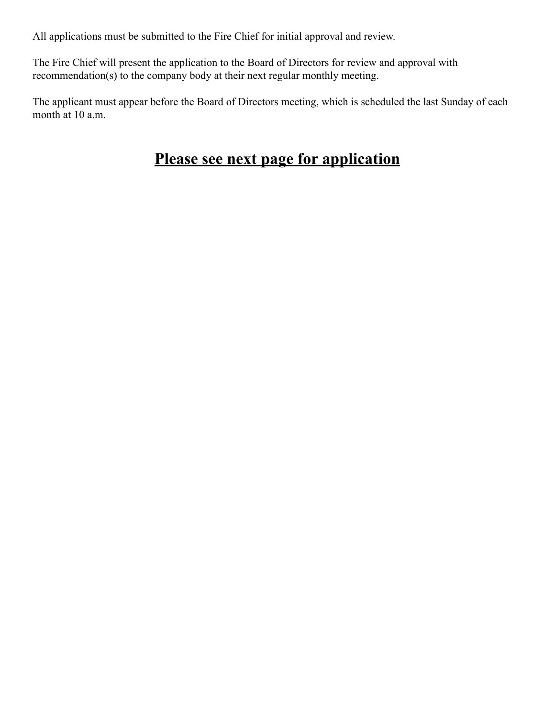All applications must be submitted to the Fire Chief for initial approval and review.

The Fire Chief will present the application to the Board of Directors for review and approval with recommendation(s) to the company body at their next regular monthly meeting.

The applicant must appear before the Board of Directors meeting, which is scheduled the last Sunday of each month at 10 a.m.

#### **Please see next page for application**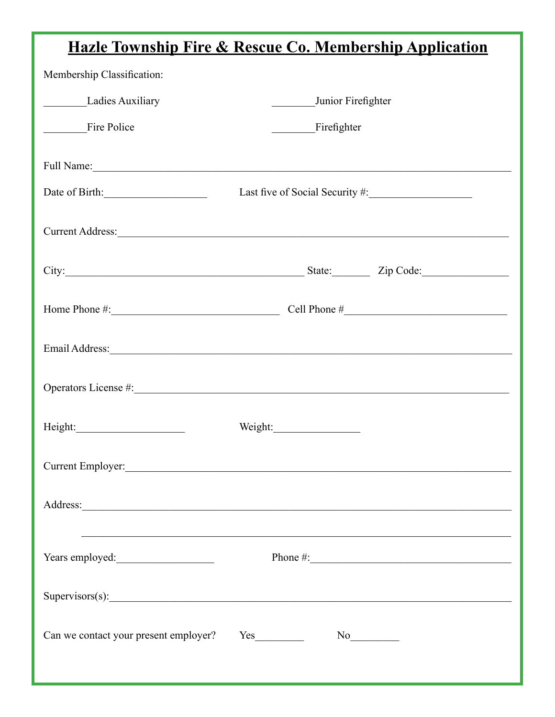## Hazle Township Fire & Rescue Co. Membership Application

| Membership Classification:                                                                                                                                                                                                          |                                                                                  |              |
|-------------------------------------------------------------------------------------------------------------------------------------------------------------------------------------------------------------------------------------|----------------------------------------------------------------------------------|--------------|
| Ladies Auxiliary                                                                                                                                                                                                                    | Junior Firefighter                                                               |              |
| Fire Police                                                                                                                                                                                                                         | Firefighter                                                                      |              |
|                                                                                                                                                                                                                                     |                                                                                  |              |
| Date of Birth:                                                                                                                                                                                                                      |                                                                                  |              |
| Current Address:                                                                                                                                                                                                                    |                                                                                  |              |
| City: <u>City:</u> City: City: City: City: City: City: City: City: City: City: City: City: City: City: City: City: City: City: City: City: City: City: City: City: City: City: City: City: City: City: City: City: City: City: City |                                                                                  |              |
| Home Phone $\#$ : Cell Phone $\#$                                                                                                                                                                                                   |                                                                                  |              |
| Email Address: Note and Address and Address and Address and Address and Address and Address and Address and Address and Address and Address and Address and Address and Address and Address and Address and Address and Addres      |                                                                                  |              |
|                                                                                                                                                                                                                                     |                                                                                  |              |
|                                                                                                                                                                                                                                     | Weight:                                                                          |              |
| Current Employer:                                                                                                                                                                                                                   |                                                                                  |              |
|                                                                                                                                                                                                                                     |                                                                                  |              |
| Years employed:                                                                                                                                                                                                                     | ,我们也不能在这里的时候,我们也不能在这里的时候,我们也不能在这里的时候,我们也不能会在这里的时候,我们也不能会在这里的时候,我们也不能会在这里的时候,我们也不 | Phone $\#$ : |
| Supervisors(s):                                                                                                                                                                                                                     |                                                                                  |              |
| Can we contact your present employer?                                                                                                                                                                                               |                                                                                  |              |
|                                                                                                                                                                                                                                     |                                                                                  |              |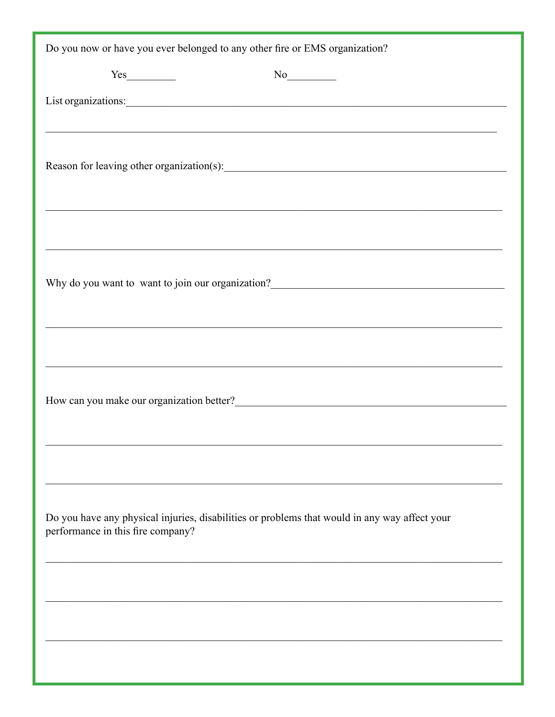| Do you now or have you ever belonged to any other fire or EMS organization?                                                        |
|------------------------------------------------------------------------------------------------------------------------------------|
|                                                                                                                                    |
|                                                                                                                                    |
|                                                                                                                                    |
|                                                                                                                                    |
|                                                                                                                                    |
| Why do you want to want to join our organization?                                                                                  |
|                                                                                                                                    |
| How can you make our organization better?<br><u>Letter</u> 2                                                                       |
|                                                                                                                                    |
| Do you have any physical injuries, disabilities or problems that would in any way affect your<br>performance in this fire company? |
|                                                                                                                                    |
|                                                                                                                                    |
|                                                                                                                                    |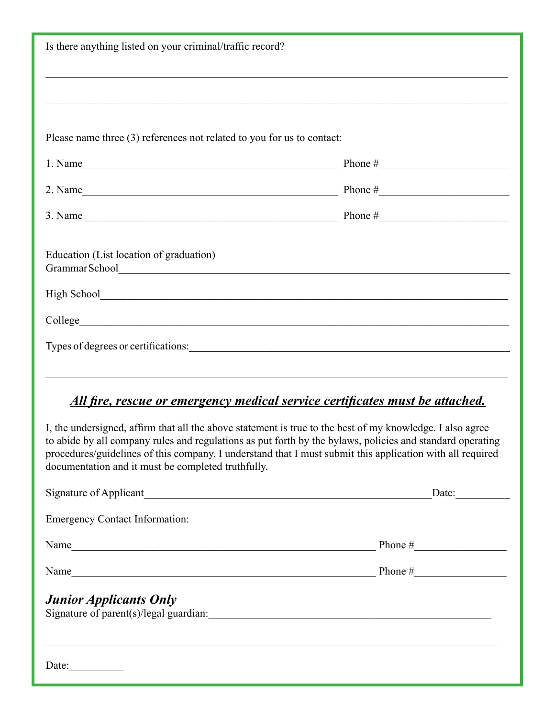| Is there anything listed on your criminal/traffic record?                                                                                                                                                                                                                    |  |  |  |
|------------------------------------------------------------------------------------------------------------------------------------------------------------------------------------------------------------------------------------------------------------------------------|--|--|--|
|                                                                                                                                                                                                                                                                              |  |  |  |
|                                                                                                                                                                                                                                                                              |  |  |  |
| Please name three (3) references not related to you for us to contact:                                                                                                                                                                                                       |  |  |  |
| 1. Name Phone $\#$ Phone $\#$                                                                                                                                                                                                                                                |  |  |  |
| 2. Name Phone $\#$                                                                                                                                                                                                                                                           |  |  |  |
| 3. Name Phone $\#$                                                                                                                                                                                                                                                           |  |  |  |
| Education (List location of graduation)<br>Grammar School et al. 2016. The contract of the contract of the contract of the contract of the contract of the contract of the contract of the contract of the contract of the contract of the contract of the contract of th    |  |  |  |
|                                                                                                                                                                                                                                                                              |  |  |  |
|                                                                                                                                                                                                                                                                              |  |  |  |
|                                                                                                                                                                                                                                                                              |  |  |  |
| <u>All fire, rescue or emergency medical service certificates must be attached.</u><br>I, the undersigned, affirm that all the above statement is true to the best of my knowledge. I also agree                                                                             |  |  |  |
| to abide by all company rules and regulations as put forth by the bylaws, policies and standard operating<br>procedures/guidelines of this company. I understand that I must submit this application with all required<br>documentation and it must be completed truthfully. |  |  |  |
|                                                                                                                                                                                                                                                                              |  |  |  |
| <b>Emergency Contact Information:</b>                                                                                                                                                                                                                                        |  |  |  |
| Name Phone $\#$                                                                                                                                                                                                                                                              |  |  |  |
| Name Phone $\#$                                                                                                                                                                                                                                                              |  |  |  |
| <b>Junior Applicants Only</b>                                                                                                                                                                                                                                                |  |  |  |
| Date:                                                                                                                                                                                                                                                                        |  |  |  |